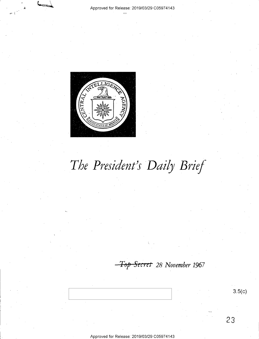

# The President's Daily Brief

*T8p Sec* **I** *et 28 November 1967* 

**3.5(c)**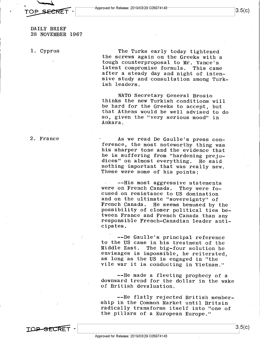$\sim$ OP SECRET  $\begin{bmatrix} 3.5(C) \end{bmatrix}$ 

DAILY BRIEF 28 NOVEMBER 1967

1. Cyprus

The Turks early today tightened the screws again on the Greeks with <sup>a</sup> tough counterproposal to Mr. Vance's latest compromise formula. This came after a steady day and night of intensive study and'consultation among Turkish leaders.

**NATO** Secretary General Brosio thinks the new Turkish conditions will be hard for the Greeks to accept, but that Athens would be well advised to do so, given the "very serious mood" in Ankara.

2. France

As we read De Gaulle's press conference, the most noteworthy thing was his sharper tone and the evidence that he is suffering from "hardening prejudices" on almost everything. He said nothing important that was really new. These were some of his points:

--His most aggressive statements were on French Canada. They were focused on resistance to US domination and on the ultimate "sovereignty" of French Canada. He seems bemused by the possibility of closer political ties between France and French Canada than any responsible French-Canadian leader anticipates.

--De Gaulle's principal reference to the US came in his treatment of the Middle East. The big-four solution he envisages is impossible, he reiterated, as long as the US is engaged in "the vile war it is conducting in Vietnam."

--He made a fleeting prophecy of <sup>a</sup> downward trend for the dollar in the wake of British devaluation.

--He flatly rejected British membership in the Common Market until Britain radically transforms itself into "one of the pillars of a European Europe."

TOP SFCRE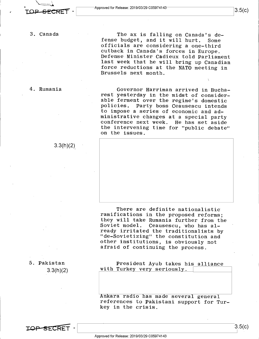3. Canada

4. Rumania

 $3.3(h)(2)$ 

4

The ax is falling on Canada's defense budget, and it will hurt. Some officials are considering a one-third cutback in Canada's forces **in** Europe. Defense Minister Cadieux told Parliament last week that he will bring up Canadian force reductions at the NATO meeting in Brussels next month.

Governor Harriman arrived in Bucharest yesterday in the midst of considerable ferment over the regime's domestic policies. Party boss Ceausescu intends to impose a series of economic and administrative changes at a special party conference next week. He has set aside the intervening time for "public debate" on the issues.



There are definite nationalistic ramifications in the proposed reforms; they will take Rumania further from the Soviet model. Ceausescu, who has already irritated the traditionalists by "de-Sovietizing" the constitution and other institutions, is obviously not afraid of continuing the process.

5. Pakistan 3.3(h)(2)

President Ayub takes his alliance with Turkey very seriously.

Ankara radio has made several general references to Pakistani support for Turkey in the crisis.

**TOP SECRET** 

3.5(c)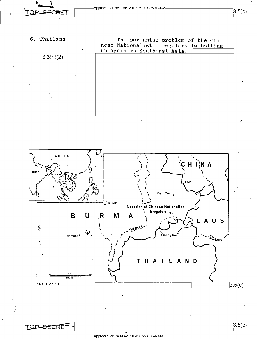Approved for Release: 2019/03/29 C05974143<br> **LOB SECRET** -**•FORET •** Approved for Release: 2019/03/29 C05974143<br> **FOR SECRET** • 3.5(c)

6. Thailand

3.3(h)(2)

The perennial problem of the Chinese Nationalist irregulars is boiling up again in Southeast Asia.



TO<del>P SECR</del>ET

 $3.5(c)$ 

/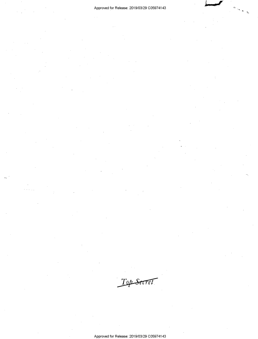j j

~-

Top Secret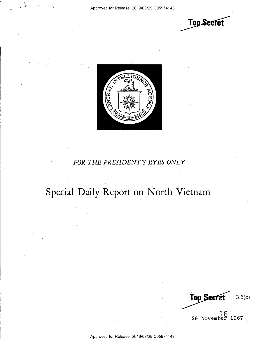**Top Secret** 



### *FOR THE PRESIDENT'S EYES ONLY*

## **Special Daily Report on North Vietnam**

Top Secret 3.5(c) 16 \_ **28 November 1967** 

Approved for Release: 2019/03/29 C0597 4143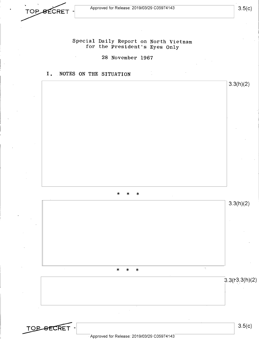**TOP SECRET** 

**TOP SECRET** 

Special Daily Report on North Vietnam for the President's Eyes Only

28 November 1967

I. NOTES ON THE SITUATION



 $\sqrt{2}$  Approved for Release: 2019/03/29 C05974143

3.5(c)

3.5(c)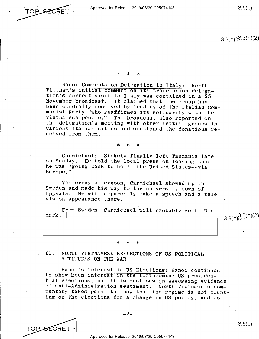Approved for Release: 2019/03/29 C05974143  $3.5(c)$ 

TOP SECRET

TOP SECRET

 $3.3(h)(2,3(h)(2)$ 

#### \* \* \*

.Hanoi Comments on Delegation in Italy: North Vietnam's initial comment on its trade union delegation's current visit to Italy was contained in a <sup>25</sup> November broadcast. It claimed that the group had been cordially received by leaders of the Italian Communist Party "who reaffirmed its solidarity with the Vietnamese people." The broadcast also reported on the delegation's meeting with other leftist groups in various Italian cities and mentioned the donations received from them.

#### \* \* \*

Carmichael: Stokely finally left Tanzania late on Sunday. He told the local press on leaving that he was "going back to hell--the United States--via Europe."

Yesterday afternoon, Carmichael showed up in Sweden and made his way to the university town of Uppsala. He will apparently make a speech and a television appearance there.

| From Sweden, Carmichael will probably go to Den-<br>mark. |           |
|-----------------------------------------------------------|-----------|
|                                                           | 3.3(h)(2) |
|                                                           |           |
|                                                           |           |

#### II. NORTH VIETNAMESE REFLECTIONS OF US POLITICAL ATTITUDES ON THE WAR

\* \* \*

Hanoi's Interest in US Elections: Hanoi continues to show keen interest in the forthcoming US presidential elections, but it is cautious in assessing evidence of anti-Administration sentiment. North Vietnamese commentary takes pains to show that the regime is not counting on the elections for a change in US policy, and to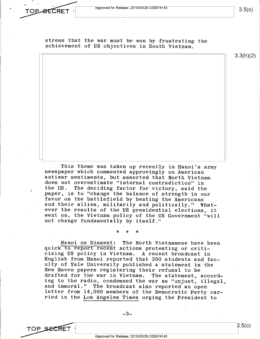TOP SECRET

 $3.5(c)$ 

stress that the war must be won by frustrating the achievement of US objectives in South Vietnam.

3.3(h)(2)

3.5(c)

This theme was taken up recently in Hanoi's army newspaper which commented approvingly on American antiwar sentiments, but ,asserted that North Vietnam, does not overestimate "internal contradiction" in<br>the US. The deciding factor for victory, said the The deciding factor for victory, said the paper, is to "change the balance of strength in our favor on the battlefield by beating the Americans and their allies, militarily and politically." Whatever the results of the US presidential elections, it went on, the Vietnam policy of the US Government "will not change fundamentally by itself."

\* \* \*

Hanoi on Dissent: The North Vietnamese have been quick to report recent actions protesting or criticizing US policy in Vietnam. A recent broadcast in English from Hanoi reported that 300 students and faculty of Yale University published a statement in the New Haven papers registering their refusal to be drafted for the war in Vietnam. The statement, according to the radio, condemned the war as "unjust, illegal, and immoral." The broadcast also reported an open letter from 14,000 members of the Democratic Party carried in the Los Angeles Times urging the President to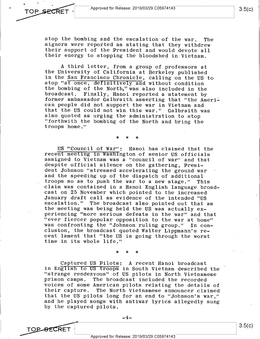Approved for Release: 2019/03/29 C05974143

TOP SECRET

stop the bombing and the escalation of the war. The signers were reported as stating that they withdrew their support of the President and would devote all their energy to stopping the bloodshed in Vietnam.

<sup>A</sup>third letter, from <sup>a</sup>group of professors at the University of California at Berkeley published in the San Francisco Chronicle, calling on the US to stop "at once, definitively and without condition the bombing of the North;''was also included in the broadcast. Finally, Hanoi reported a statement by former ambassador Galbraith asserting that "the American people did not support the war in Vietnam and that the US could not win this war." Galbraith was also quoted as urging the administration to stop "forthwith the bombing of the North and bring the troops home."

\* \* \*

US "Council of war": Hanoi has claimed that the recent meeting in Washington of senior US officials assigned to Vietnam was a "council of war" and that despite official silence on the gathering, President Johnson "stressed accelerating the ground war and the speeding up of the dispatch of additional troops so as to push the war to a new stage." This claim was contained in a Hanoi English language broadcast on 25 November which pointed to the increased January draft call as evidence of the intended "US escalation." The broadcast also pointed out that as the meeting was being held the US was actually experiencing "more serious defeats in the war" and that "ever fiercer popular opposition to the war at home" was confronting the ''Johnson ruling group." In conclusion, the broadcast quoted Walter Lippmann's recent lament that "the US is going through the worst time in its whole life."

\* \* \*

Captured US Pilots: A recent Hanoi broadcast in English to US troops in South Vietnam described the "strange rendezvous" of US pilots in North Vietnamese prison camps. The broadcast included the recorded voices of some American pilots relating the details of their capture. The North Vietnamese announcer claimed that the US pilots long for an end to "Johnson's war," and he played songs with antiwar lyrics allegedly sung by the captured pilots.